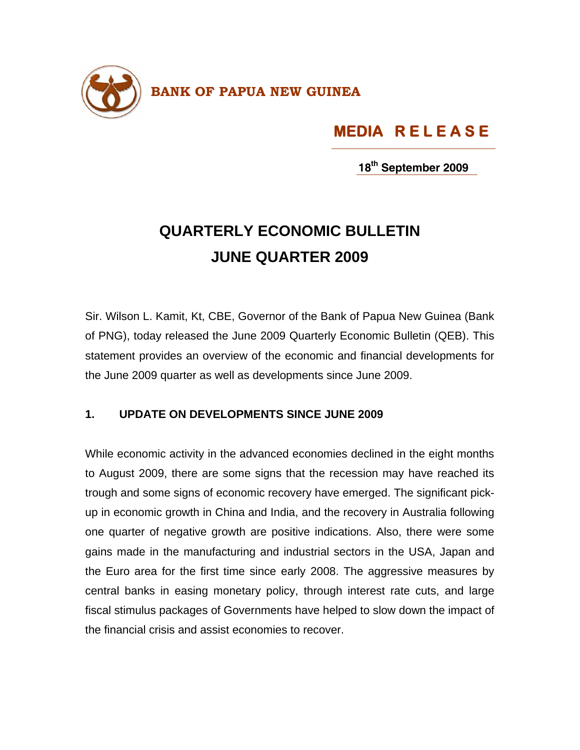

## **MEDIA R E L E A S E**

**18th September 2009**

## **QUARTERLY ECONOMIC BULLETIN JUNE QUARTER 2009**

Sir. Wilson L. Kamit, Kt, CBE, Governor of the Bank of Papua New Guinea (Bank of PNG), today released the June 2009 Quarterly Economic Bulletin (QEB). This statement provides an overview of the economic and financial developments for the June 2009 quarter as well as developments since June 2009.

## **1. UPDATE ON DEVELOPMENTS SINCE JUNE 2009**

While economic activity in the advanced economies declined in the eight months to August 2009, there are some signs that the recession may have reached its trough and some signs of economic recovery have emerged. The significant pickup in economic growth in China and India, and the recovery in Australia following one quarter of negative growth are positive indications. Also, there were some gains made in the manufacturing and industrial sectors in the USA, Japan and the Euro area for the first time since early 2008. The aggressive measures by central banks in easing monetary policy, through interest rate cuts, and large fiscal stimulus packages of Governments have helped to slow down the impact of the financial crisis and assist economies to recover.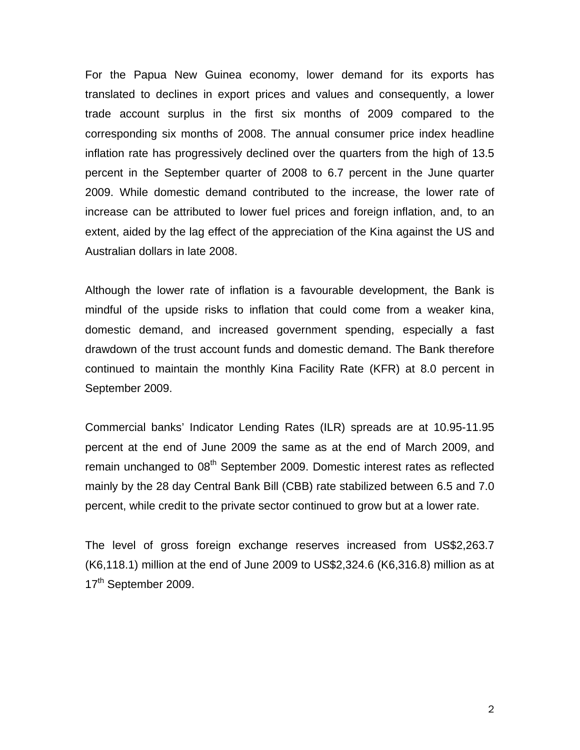For the Papua New Guinea economy, lower demand for its exports has translated to declines in export prices and values and consequently, a lower trade account surplus in the first six months of 2009 compared to the corresponding six months of 2008. The annual consumer price index headline inflation rate has progressively declined over the quarters from the high of 13.5 percent in the September quarter of 2008 to 6.7 percent in the June quarter 2009. While domestic demand contributed to the increase, the lower rate of increase can be attributed to lower fuel prices and foreign inflation, and, to an extent, aided by the lag effect of the appreciation of the Kina against the US and Australian dollars in late 2008.

Although the lower rate of inflation is a favourable development, the Bank is mindful of the upside risks to inflation that could come from a weaker kina, domestic demand, and increased government spending, especially a fast drawdown of the trust account funds and domestic demand. The Bank therefore continued to maintain the monthly Kina Facility Rate (KFR) at 8.0 percent in September 2009.

Commercial banks' Indicator Lending Rates (ILR) spreads are at 10.95-11.95 percent at the end of June 2009 the same as at the end of March 2009, and remain unchanged to 08<sup>th</sup> September 2009. Domestic interest rates as reflected mainly by the 28 day Central Bank Bill (CBB) rate stabilized between 6.5 and 7.0 percent, while credit to the private sector continued to grow but at a lower rate.

The level of gross foreign exchange reserves increased from US\$2,263.7 (K6,118.1) million at the end of June 2009 to US\$2,324.6 (K6,316.8) million as at 17<sup>th</sup> September 2009.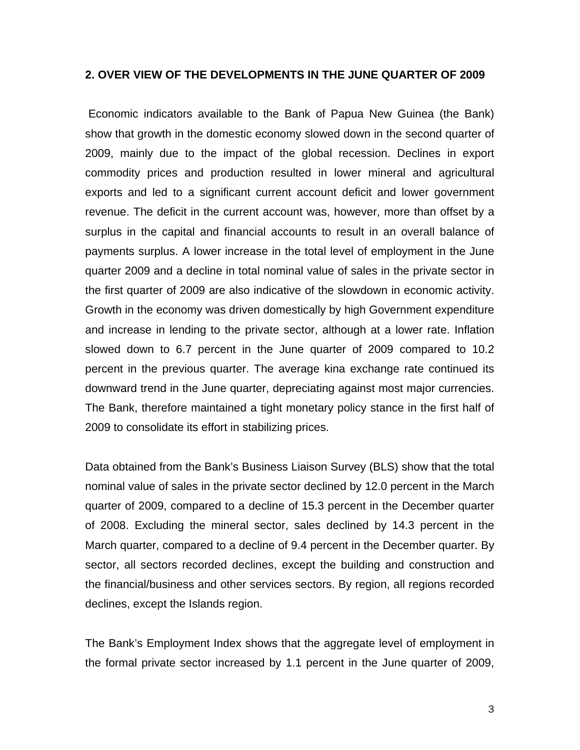## **2. OVER VIEW OF THE DEVELOPMENTS IN THE JUNE QUARTER OF 2009**

 Economic indicators available to the Bank of Papua New Guinea (the Bank) show that growth in the domestic economy slowed down in the second quarter of 2009, mainly due to the impact of the global recession. Declines in export commodity prices and production resulted in lower mineral and agricultural exports and led to a significant current account deficit and lower government revenue. The deficit in the current account was, however, more than offset by a surplus in the capital and financial accounts to result in an overall balance of payments surplus. A lower increase in the total level of employment in the June quarter 2009 and a decline in total nominal value of sales in the private sector in the first quarter of 2009 are also indicative of the slowdown in economic activity. Growth in the economy was driven domestically by high Government expenditure and increase in lending to the private sector, although at a lower rate. Inflation slowed down to 6.7 percent in the June quarter of 2009 compared to 10.2 percent in the previous quarter. The average kina exchange rate continued its downward trend in the June quarter, depreciating against most major currencies. The Bank, therefore maintained a tight monetary policy stance in the first half of 2009 to consolidate its effort in stabilizing prices.

Data obtained from the Bank's Business Liaison Survey (BLS) show that the total nominal value of sales in the private sector declined by 12.0 percent in the March quarter of 2009, compared to a decline of 15.3 percent in the December quarter of 2008. Excluding the mineral sector, sales declined by 14.3 percent in the March quarter, compared to a decline of 9.4 percent in the December quarter. By sector, all sectors recorded declines, except the building and construction and the financial/business and other services sectors. By region, all regions recorded declines, except the Islands region.

The Bank's Employment Index shows that the aggregate level of employment in the formal private sector increased by 1.1 percent in the June quarter of 2009,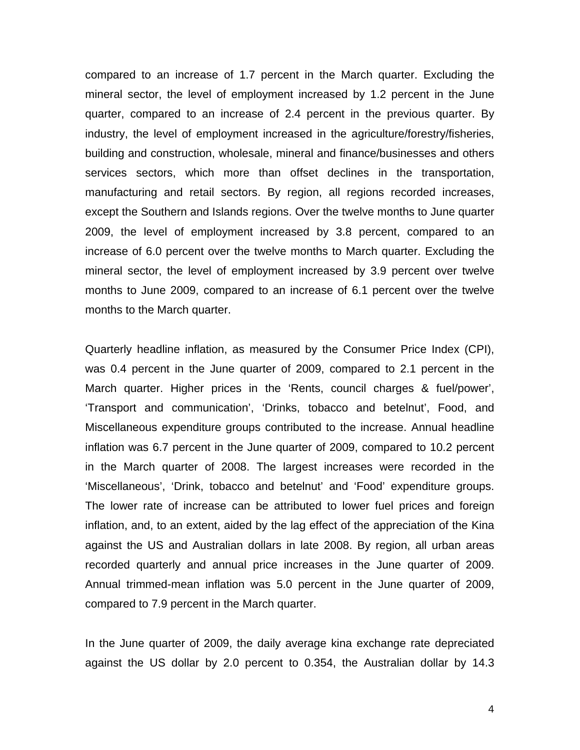compared to an increase of 1.7 percent in the March quarter. Excluding the mineral sector, the level of employment increased by 1.2 percent in the June quarter, compared to an increase of 2.4 percent in the previous quarter. By industry, the level of employment increased in the agriculture/forestry/fisheries, building and construction, wholesale, mineral and finance/businesses and others services sectors, which more than offset declines in the transportation, manufacturing and retail sectors. By region, all regions recorded increases, except the Southern and Islands regions. Over the twelve months to June quarter 2009, the level of employment increased by 3.8 percent, compared to an increase of 6.0 percent over the twelve months to March quarter. Excluding the mineral sector, the level of employment increased by 3.9 percent over twelve months to June 2009, compared to an increase of 6.1 percent over the twelve months to the March quarter.

Quarterly headline inflation, as measured by the Consumer Price Index (CPI), was 0.4 percent in the June quarter of 2009, compared to 2.1 percent in the March quarter. Higher prices in the 'Rents, council charges & fuel/power', 'Transport and communication', 'Drinks, tobacco and betelnut', Food, and Miscellaneous expenditure groups contributed to the increase. Annual headline inflation was 6.7 percent in the June quarter of 2009, compared to 10.2 percent in the March quarter of 2008. The largest increases were recorded in the 'Miscellaneous', 'Drink, tobacco and betelnut' and 'Food' expenditure groups. The lower rate of increase can be attributed to lower fuel prices and foreign inflation, and, to an extent, aided by the lag effect of the appreciation of the Kina against the US and Australian dollars in late 2008. By region, all urban areas recorded quarterly and annual price increases in the June quarter of 2009. Annual trimmed-mean inflation was 5.0 percent in the June quarter of 2009, compared to 7.9 percent in the March quarter.

In the June quarter of 2009, the daily average kina exchange rate depreciated against the US dollar by 2.0 percent to 0.354, the Australian dollar by 14.3

4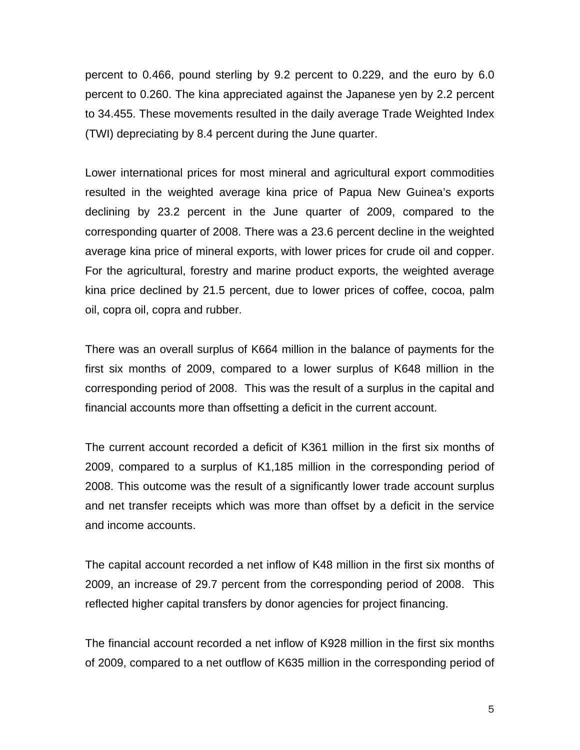percent to 0.466, pound sterling by 9.2 percent to 0.229, and the euro by 6.0 percent to 0.260. The kina appreciated against the Japanese yen by 2.2 percent to 34.455. These movements resulted in the daily average Trade Weighted Index (TWI) depreciating by 8.4 percent during the June quarter.

Lower international prices for most mineral and agricultural export commodities resulted in the weighted average kina price of Papua New Guinea's exports declining by 23.2 percent in the June quarter of 2009, compared to the corresponding quarter of 2008. There was a 23.6 percent decline in the weighted average kina price of mineral exports, with lower prices for crude oil and copper. For the agricultural, forestry and marine product exports, the weighted average kina price declined by 21.5 percent, due to lower prices of coffee, cocoa, palm oil, copra oil, copra and rubber.

There was an overall surplus of K664 million in the balance of payments for the first six months of 2009, compared to a lower surplus of K648 million in the corresponding period of 2008. This was the result of a surplus in the capital and financial accounts more than offsetting a deficit in the current account.

The current account recorded a deficit of K361 million in the first six months of 2009, compared to a surplus of K1,185 million in the corresponding period of 2008. This outcome was the result of a significantly lower trade account surplus and net transfer receipts which was more than offset by a deficit in the service and income accounts.

The capital account recorded a net inflow of K48 million in the first six months of 2009, an increase of 29.7 percent from the corresponding period of 2008. This reflected higher capital transfers by donor agencies for project financing.

The financial account recorded a net inflow of K928 million in the first six months of 2009, compared to a net outflow of K635 million in the corresponding period of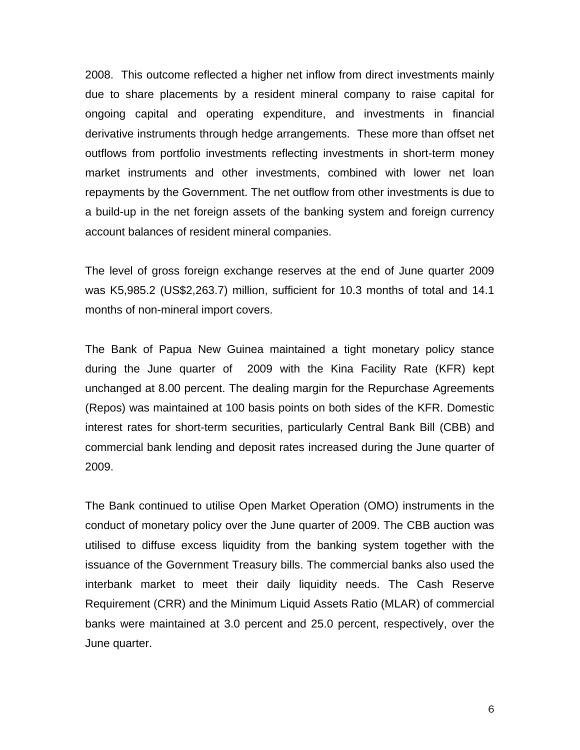2008. This outcome reflected a higher net inflow from direct investments mainly due to share placements by a resident mineral company to raise capital for ongoing capital and operating expenditure, and investments in financial derivative instruments through hedge arrangements. These more than offset net outflows from portfolio investments reflecting investments in short-term money market instruments and other investments, combined with lower net loan repayments by the Government. The net outflow from other investments is due to a build-up in the net foreign assets of the banking system and foreign currency account balances of resident mineral companies.

The level of gross foreign exchange reserves at the end of June quarter 2009 was K5,985.2 (US\$2,263.7) million, sufficient for 10.3 months of total and 14.1 months of non-mineral import covers.

The Bank of Papua New Guinea maintained a tight monetary policy stance during the June quarter of 2009 with the Kina Facility Rate (KFR) kept unchanged at 8.00 percent. The dealing margin for the Repurchase Agreements (Repos) was maintained at 100 basis points on both sides of the KFR. Domestic interest rates for short-term securities, particularly Central Bank Bill (CBB) and commercial bank lending and deposit rates increased during the June quarter of 2009.

The Bank continued to utilise Open Market Operation (OMO) instruments in the conduct of monetary policy over the June quarter of 2009. The CBB auction was utilised to diffuse excess liquidity from the banking system together with the issuance of the Government Treasury bills. The commercial banks also used the interbank market to meet their daily liquidity needs. The Cash Reserve Requirement (CRR) and the Minimum Liquid Assets Ratio (MLAR) of commercial banks were maintained at 3.0 percent and 25.0 percent, respectively, over the June quarter.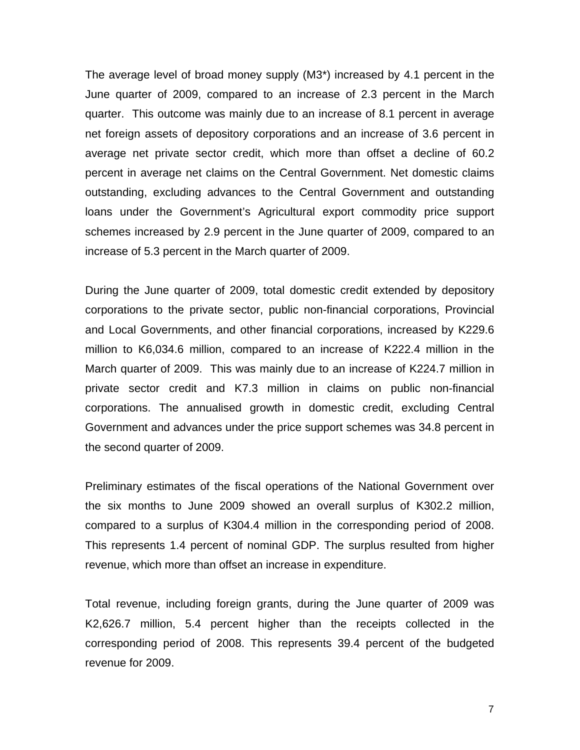The average level of broad money supply (M3\*) increased by 4.1 percent in the June quarter of 2009, compared to an increase of 2.3 percent in the March quarter. This outcome was mainly due to an increase of 8.1 percent in average net foreign assets of depository corporations and an increase of 3.6 percent in average net private sector credit, which more than offset a decline of 60.2 percent in average net claims on the Central Government. Net domestic claims outstanding, excluding advances to the Central Government and outstanding loans under the Government's Agricultural export commodity price support schemes increased by 2.9 percent in the June quarter of 2009, compared to an increase of 5.3 percent in the March quarter of 2009.

During the June quarter of 2009, total domestic credit extended by depository corporations to the private sector, public non-financial corporations, Provincial and Local Governments, and other financial corporations, increased by K229.6 million to K6,034.6 million, compared to an increase of K222.4 million in the March quarter of 2009. This was mainly due to an increase of K224.7 million in private sector credit and K7.3 million in claims on public non-financial corporations. The annualised growth in domestic credit, excluding Central Government and advances under the price support schemes was 34.8 percent in the second quarter of 2009.

Preliminary estimates of the fiscal operations of the National Government over the six months to June 2009 showed an overall surplus of K302.2 million, compared to a surplus of K304.4 million in the corresponding period of 2008. This represents 1.4 percent of nominal GDP. The surplus resulted from higher revenue, which more than offset an increase in expenditure.

Total revenue, including foreign grants, during the June quarter of 2009 was K2,626.7 million, 5.4 percent higher than the receipts collected in the corresponding period of 2008. This represents 39.4 percent of the budgeted revenue for 2009.

7